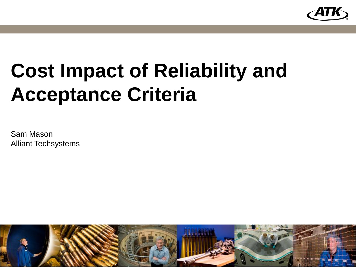

# **Cost Impact of Reliability and Acceptance Criteria**

Sam Mason Alliant Techsystems

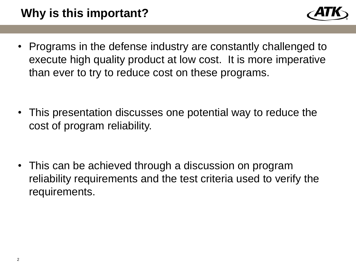

• Programs in the defense industry are constantly challenged to execute high quality product at low cost. It is more imperative than ever to try to reduce cost on these programs.

• This presentation discusses one potential way to reduce the cost of program reliability.

• This can be achieved through a discussion on program reliability requirements and the test criteria used to verify the requirements.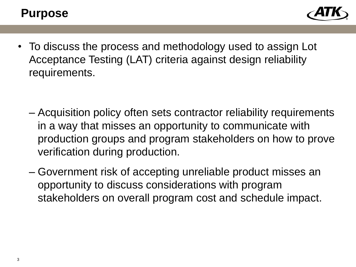

• To discuss the process and methodology used to assign Lot Acceptance Testing (LAT) criteria against design reliability requirements.

- Acquisition policy often sets contractor reliability requirements in a way that misses an opportunity to communicate with production groups and program stakeholders on how to prove verification during production.
- Government risk of accepting unreliable product misses an opportunity to discuss considerations with program stakeholders on overall program cost and schedule impact.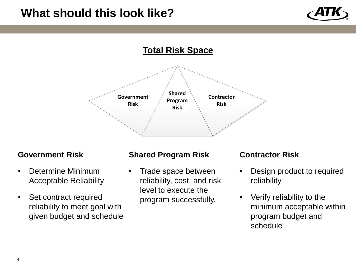### **What should this look like?**



### **Total Risk Space**



#### **Government Risk**

- Determine Minimum Acceptable Reliability
- Set contract required reliability to meet goal with given budget and schedule

#### **Shared Program Risk**

• Trade space between reliability, cost, and risk level to execute the program successfully.

#### **Contractor Risk**

- Design product to required reliability
- Verify reliability to the minimum acceptable within program budget and schedule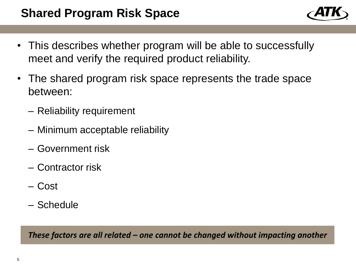- This describes whether program will be able to successfully meet and verify the required product reliability.
- The shared program risk space represents the trade space between:
	- Reliability requirement
	- Minimum acceptable reliability
	- Government risk
	- Contractor risk
	- Cost
	- Schedule

*These factors are all related – one cannot be changed without impacting another*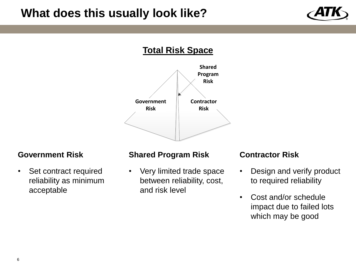### **What does this usually look like?**



### **Total Risk Space**



#### **Government Risk**

• Set contract required reliability as minimum acceptable

#### **Shared Program Risk**

• Very limited trade space between reliability, cost, and risk level

#### **Contractor Risk**

- Design and verify product to required reliability
- Cost and/or schedule impact due to failed lots which may be good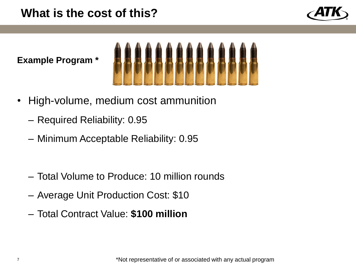### **What is the cost of this?**



**Example Program \***



- High-volume, medium cost ammunition
	- Required Reliability: 0.95
	- Minimum Acceptable Reliability: 0.95
	- Total Volume to Produce: 10 million rounds
	- Average Unit Production Cost: \$10
	- Total Contract Value: **\$100 million**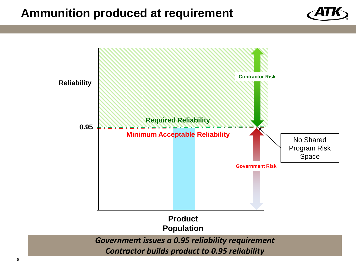### **Ammunition produced at requirement**



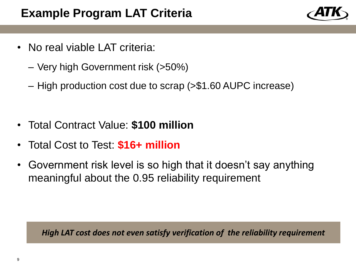- No real viable LAT criteria:
	- Very high Government risk (>50%)
	- High production cost due to scrap (>\$1.60 AUPC increase)
- Total Contract Value: **\$100 million**
- Total Cost to Test: **\$16+ million**
- Government risk level is so high that it doesn't say anything meaningful about the 0.95 reliability requirement

*High LAT cost does not even satisfy verification of the reliability requirement*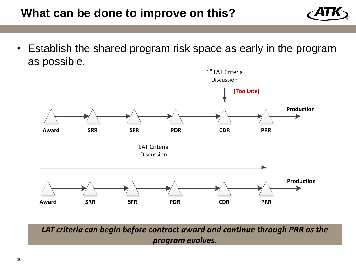### **What can be done to improve on this?**



• Establish the shared program risk space as early in the program as possible.



*LAT criteria can begin before contract award and continue through PRR as the program evolves.*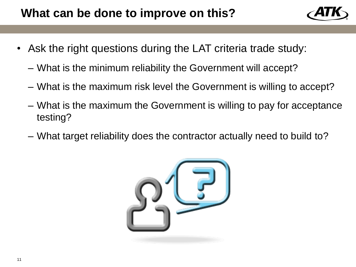

- Ask the right questions during the LAT criteria trade study:
	- What is the minimum reliability the Government will accept?
	- What is the maximum risk level the Government is willing to accept?
	- What is the maximum the Government is willing to pay for acceptance testing?
	- What target reliability does the contractor actually need to build to?

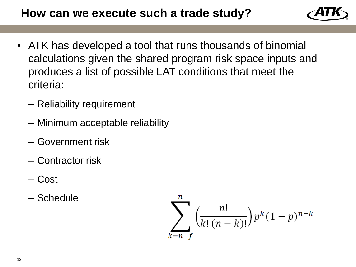

- ATK has developed a tool that runs thousands of binomial calculations given the shared program risk space inputs and produces a list of possible LAT conditions that meet the criteria:
	- Reliability requirement
	- Minimum acceptable reliability
	- Government risk
	- Contractor risk
	- Cost
	- Schedule

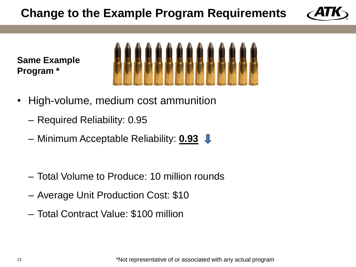# **Change to the Example Program Requirements**



**Same Example Program \***



- High-volume, medium cost ammunition
	- Required Reliability: 0.95
	- Minimum Acceptable Reliability: **0.93**
	- Total Volume to Produce: 10 million rounds
	- Average Unit Production Cost: \$10
	- Total Contract Value: \$100 million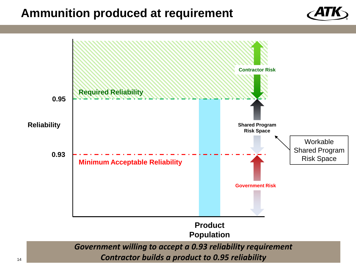### **Ammunition produced at requirement**



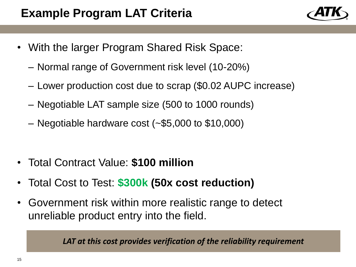- With the larger Program Shared Risk Space:
	- Normal range of Government risk level (10-20%)
	- Lower production cost due to scrap (\$0.02 AUPC increase)
	- Negotiable LAT sample size (500 to 1000 rounds)
	- Negotiable hardware cost (~\$5,000 to \$10,000)
- Total Contract Value: **\$100 million**
- Total Cost to Test: **\$300k (50x cost reduction)**
- Government risk within more realistic range to detect unreliable product entry into the field.

*LAT at this cost provides verification of the reliability requirement*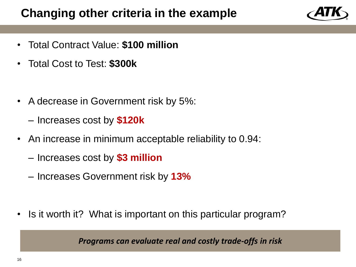### **Changing other criteria in the example**

- Total Contract Value: **\$100 million**
- Total Cost to Test: **\$300k**
- A decrease in Government risk by 5%:
	- Increases cost by **\$120k**
- An increase in minimum acceptable reliability to 0.94:
	- Increases cost by **\$3 million**
	- Increases Government risk by **13%**
- Is it worth it? What is important on this particular program?

*Programs can evaluate real and costly trade-offs in risk*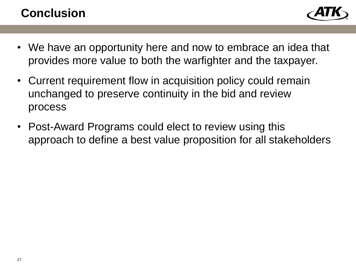## **Conclusion**



- We have an opportunity here and now to embrace an idea that provides more value to both the warfighter and the taxpayer.
- Current requirement flow in acquisition policy could remain unchanged to preserve continuity in the bid and review process
- Post-Award Programs could elect to review using this approach to define a best value proposition for all stakeholders